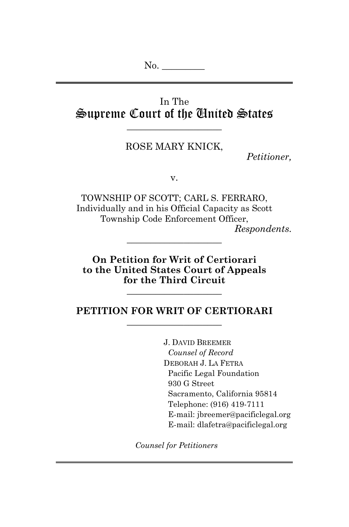No.  $\qquad \qquad$ 

# In The Supreme Court of the United States

\_\_\_\_\_\_\_\_\_\_\_\_\_\_\_\_\_\_\_\_

## ROSE MARY KNICK,

*Petitioner,*

v.

TOWNSHIP OF SCOTT; CARL S. FERRARO, Individually and in his Official Capacity as Scott Township Code Enforcement Officer, *Respondents.*

**On Petition for Writ of Certiorari to the United States Court of Appeals for the Third Circuit**

\_\_\_\_\_\_\_\_\_\_\_\_\_\_\_\_\_\_\_\_

#### **PETITION FOR WRIT OF CERTIORARI** \_\_\_\_\_\_\_\_\_\_\_\_\_\_\_\_\_\_\_\_

\_\_\_\_\_\_\_\_\_\_\_\_\_\_\_\_\_\_\_\_

J. DAVID BREEMER *Counsel of Record* DEBORAH J. LA FETRA Pacific Legal Foundation 930 G Street Sacramento, California 95814 Telephone: (916) 419-7111 E-mail: jbreemer@pacificlegal.org E-mail: dlafetra@pacificlegal.org

*Counsel for Petitioners*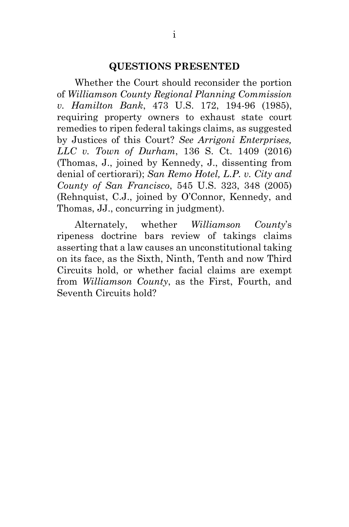#### **QUESTIONS PRESENTED**

Whether the Court should reconsider the portion of *Williamson County Regional Planning Commission v. Hamilton Bank*, 473 U.S. 172, 194-96 (1985), requiring property owners to exhaust state court remedies to ripen federal takings claims, as suggested by Justices of this Court? *See Arrigoni Enterprises, LLC v. Town of Durham*, 136 S. Ct. 1409 (2016) (Thomas, J., joined by Kennedy, J., dissenting from denial of certiorari); *San Remo Hotel, L.P. v. City and County of San Francisco*, 545 U.S. 323, 348 (2005) (Rehnquist, C.J., joined by O'Connor, Kennedy, and Thomas, JJ., concurring in judgment).

Alternately, whether *Williamson County*'s ripeness doctrine bars review of takings claims asserting that a law causes an unconstitutional taking on its face, as the Sixth, Ninth, Tenth and now Third Circuits hold, or whether facial claims are exempt from *Williamson County*, as the First, Fourth, and Seventh Circuits hold?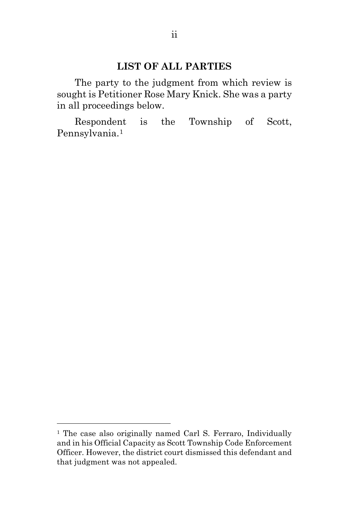#### **LIST OF ALL PARTIES**

The party to the judgment from which review is sought is Petitioner Rose Mary Knick. She was a party in all proceedings below.

Respondent is the Township of Scott, Pennsylvania.[1](#page-2-0)

 $\overline{a}$ 

<span id="page-2-0"></span><sup>&</sup>lt;sup>1</sup> The case also originally named Carl S. Ferraro, Individually and in his Official Capacity as Scott Township Code Enforcement Officer. However, the district court dismissed this defendant and that judgment was not appealed.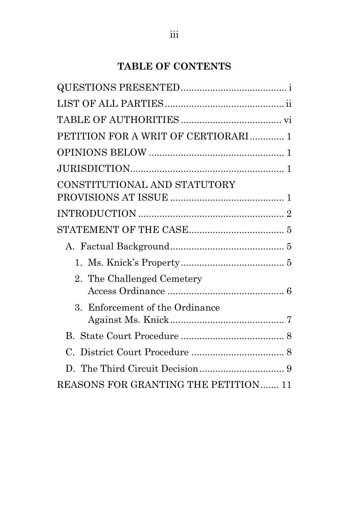# **TABLE OF CONTENTS**

| PETITION FOR A WRIT OF CERTIORARI 1   |  |
|---------------------------------------|--|
|                                       |  |
|                                       |  |
| CONSTITUTIONAL AND STATUTORY          |  |
|                                       |  |
|                                       |  |
|                                       |  |
|                                       |  |
| 2. The Challenged Cemetery            |  |
| 3. Enforcement of the Ordinance       |  |
|                                       |  |
|                                       |  |
|                                       |  |
| REASONS FOR GRANTING THE PETITION  11 |  |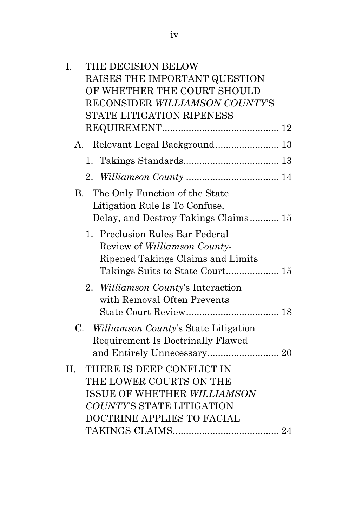| I.  | THE DECISION BELOW                                                                                                                             |  |
|-----|------------------------------------------------------------------------------------------------------------------------------------------------|--|
|     | RAISES THE IMPORTANT QUESTION                                                                                                                  |  |
|     | OF WHETHER THE COURT SHOULD                                                                                                                    |  |
|     | RECONSIDER WILLIAMSON COUNTY'S                                                                                                                 |  |
|     | STATE LITIGATION RIPENESS                                                                                                                      |  |
|     |                                                                                                                                                |  |
|     | A. Relevant Legal Background 13                                                                                                                |  |
|     | 1.                                                                                                                                             |  |
|     |                                                                                                                                                |  |
| В.  | The Only Function of the State<br>Litigation Rule Is To Confuse,<br>Delay, and Destroy Takings Claims 15                                       |  |
|     | 1. Preclusion Rules Bar Federal<br>Review of Williamson County-<br>Ripened Takings Claims and Limits                                           |  |
|     | <i>Williamson County's</i> Interaction<br>2.<br>with Removal Often Prevents                                                                    |  |
|     | $C_{\cdot}$<br>Williamson County's State Litigation<br>Requirement Is Doctrinally Flawed                                                       |  |
| II. | THERE IS DEEP CONFLICT IN<br>THE LOWER COURTS ON THE<br>ISSUE OF WHETHER WILLIAMSON<br>COUNTY'S STATE LITIGATION<br>DOCTRINE APPLIES TO FACIAL |  |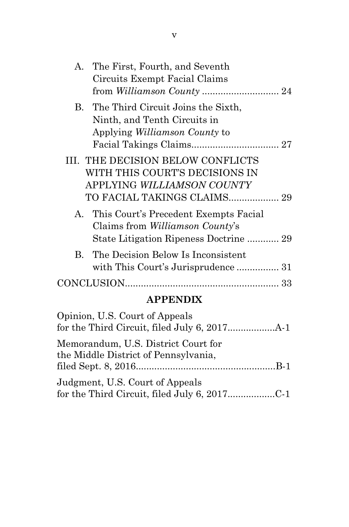| A. The First, Fourth, and Seventh<br>Circuits Exempt Facial Claims                                                           |  |
|------------------------------------------------------------------------------------------------------------------------------|--|
| B. The Third Circuit Joins the Sixth,<br>Ninth, and Tenth Circuits in<br>Applying <i>Williamson County</i> to                |  |
| III. THE DECISION BELOW CONFLICTS<br>WITH THIS COURT'S DECISIONS IN<br>APPLYING <i>WILLIAMSON COUNTY</i>                     |  |
| A. This Court's Precedent Exempts Facial<br>Claims from <i>Williamson County's</i><br>State Litigation Ripeness Doctrine  29 |  |
| B. The Decision Below Is Inconsistent                                                                                        |  |
|                                                                                                                              |  |

# **APPENDIX**

| Opinion, U.S. Court of Appeals                                                  |  |
|---------------------------------------------------------------------------------|--|
| Memorandum, U.S. District Court for                                             |  |
| the Middle District of Pennsylvania,                                            |  |
| Judgment, U.S. Court of Appeals<br>for the Third Circuit, filed July 6, 2017C-1 |  |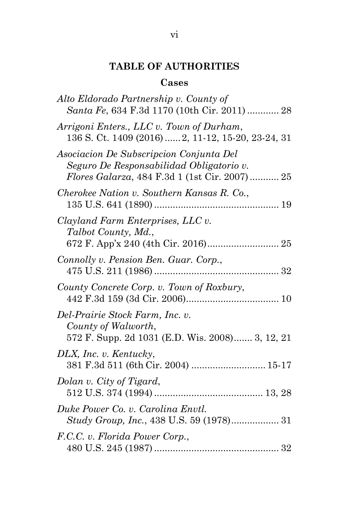# **TABLE OF AUTHORITIES**

## **Cases**

| Alto Eldorado Partnership v. County of<br>Santa Fe, 634 F.3d 1170 (10th Cir. 2011)  28                                                       |
|----------------------------------------------------------------------------------------------------------------------------------------------|
| Arrigoni Enters., LLC v. Town of Durham,<br>136 S. Ct. 1409 (2016)  2, 11-12, 15-20, 23-24, 31                                               |
| Asociacion De Subscripcion Conjunta Del<br>Seguro De Responsabilidad Obligatorio v.<br><i>Flores Galarza</i> , 484 F.3d 1 (1st Cir. 2007) 25 |
| Cherokee Nation v. Southern Kansas R. Co.,                                                                                                   |
| Clayland Farm Enterprises, LLC v.<br>Talbot County, Md.,                                                                                     |
| Connolly v. Pension Ben. Guar. Corp.,                                                                                                        |
| County Concrete Corp. v. Town of Roxbury,                                                                                                    |
| Del-Prairie Stock Farm, Inc. v.<br>County of Walworth,<br>572 F. Supp. 2d 1031 (E.D. Wis. 2008) 3, 12, 21                                    |
| DLX, Inc. v. Kentucky,<br>381 F.3d 511 (6th Cir. 2004)  15-17                                                                                |
| Dolan v. City of Tigard,                                                                                                                     |
| Duke Power Co. v. Carolina Envtl.<br>Study Group, Inc., 438 U.S. 59 (1978) 31                                                                |
| F.C.C. v. Florida Power Corp.,                                                                                                               |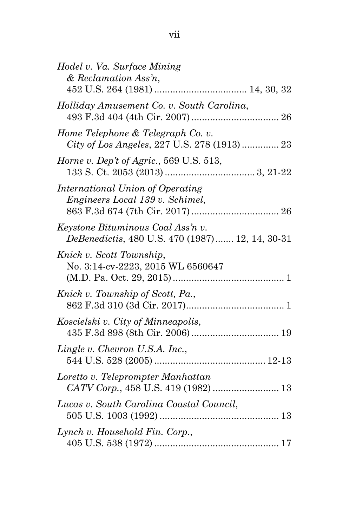| Hodel v. Va. Surface Mining<br>$&\;Reclamation$ Ass'n,                               |  |
|--------------------------------------------------------------------------------------|--|
| Holliday Amusement Co. v. South Carolina,                                            |  |
| Home Telephone & Telegraph Co. v.<br>City of Los Angeles, 227 U.S. 278 (1913)  23    |  |
| Horne v. Dep't of Agric., 569 U.S. 513,                                              |  |
| International Union of Operating<br>Engineers Local 139 v. Schimel,                  |  |
| Keystone Bituminous Coal Ass'n v.<br>DeBenedictis, 480 U.S. 470 (1987) 12, 14, 30-31 |  |
| Knick v. Scott Township,<br>No. 3:14-cv-2223, 2015 WL 6560647                        |  |
| Knick v. Township of Scott, Pa.,                                                     |  |
| Koscielski v. City of Minneapolis,                                                   |  |
| Lingle v. Chevron U.S.A. Inc.,                                                       |  |
| Loretto v. Teleprompter Manhattan<br>CATV Corp., 458 U.S. 419 (1982)  13             |  |
| Lucas v. South Carolina Coastal Council,                                             |  |
| Lynch v. Household Fin. Corp.,                                                       |  |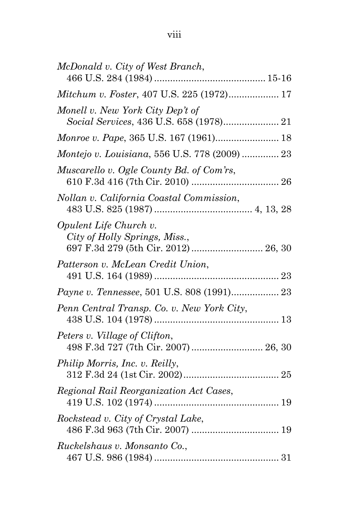| McDonald v. City of West Branch,                                                                |
|-------------------------------------------------------------------------------------------------|
| Mitchum v. Foster, 407 U.S. 225 (1972) 17                                                       |
| Monell v. New York City Dep't of                                                                |
| Monroe v. Pape, 365 U.S. 167 (1961) 18                                                          |
| Montejo v. Louisiana, 556 U.S. 778 (2009)  23                                                   |
| Muscarello v. Ogle County Bd. of Com'rs,                                                        |
| Nollan v. California Coastal Commission,                                                        |
| Opulent Life Church v.<br>City of Holly Springs, Miss.,<br>697 F.3d 279 (5th Cir. 2012)  26, 30 |
| Patterson v. McLean Credit Union,                                                               |
|                                                                                                 |
| Penn Central Transp. Co. v. New York City,                                                      |
| Peters v. Village of Clifton,<br>498 F.3d 727 (7th Cir. 2007)  26, 30                           |
| Philip Morris, Inc. v. Reilly,                                                                  |
| Regional Rail Reorganization Act Cases,                                                         |
| Rockstead v. City of Crystal Lake,                                                              |
| Ruckelshaus v. Monsanto Co.,                                                                    |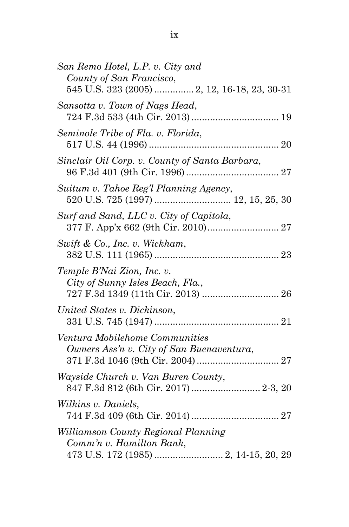| San Remo Hotel, L.P. v. City and<br>County of San Francisco,                                             |
|----------------------------------------------------------------------------------------------------------|
| 545 U.S. 323 (2005)  2, 12, 16-18, 23, 30-31                                                             |
| Sansotta v. Town of Nags Head,                                                                           |
| Seminole Tribe of Fla. v. Florida,                                                                       |
| Sinclair Oil Corp. v. County of Santa Barbara,                                                           |
| Suitum v. Tahoe Reg'l Planning Agency,                                                                   |
| Surf and Sand, LLC v. City of Capitola,                                                                  |
| Swift & Co., Inc. v. Wickham,                                                                            |
| Temple B'Nai Zion, Inc. v.<br>City of Sunny Isles Beach, Fla.,<br>727 F.3d 1349 (11th Cir. 2013)  26     |
| United States v. Dickinson,                                                                              |
| Ventura Mobilehome Communities<br>Owners Ass'n v. City of San Buenaventura,                              |
| Wayside Church v. Van Buren County,<br>847 F.3d 812 (6th Cir. 2017)  2-3, 20                             |
| Wilkins v. Daniels,                                                                                      |
| Williamson County Regional Planning<br>Comm'n v. Hamilton Bank,<br>473 U.S. 172 (1985)  2, 14-15, 20, 29 |
|                                                                                                          |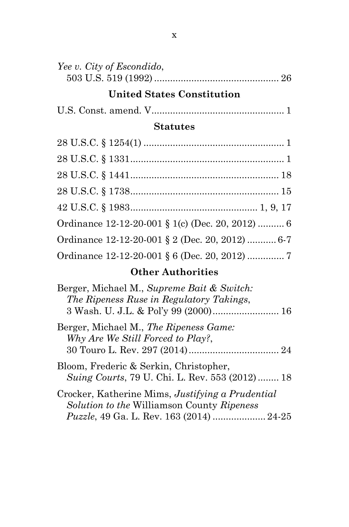| Yee v. City of Escondido, |  |
|---------------------------|--|
|                           |  |

# **United States Constitution**

|--|--|--|

## **Statutes**

| Ordinance 12-12-20-001 § 1(c) (Dec. 20, 2012)  6 |  |
|--------------------------------------------------|--|
| Ordinance 12-12-20-001 § 2 (Dec. 20, 2012)  6-7  |  |
| Ordinance 12-12-20-001 § 6 (Dec. 20, 2012)  7    |  |

# **Other Authorities**

| Berger, Michael M., Supreme Bait & Switch:       |
|--------------------------------------------------|
| The Ripeness Ruse in Regulatory Takings,         |
|                                                  |
| Berger, Michael M., The Ripeness Game:           |
| Why Are We Still Forced to Play?,                |
|                                                  |
| Bloom, Frederic & Serkin, Christopher,           |
| Suing Courts, 79 U. Chi. L. Rev. 553 (2012) 18   |
| Crocker, Katherine Mims, Justifying a Prudential |
| Solution to the Williamson County Ripeness       |
| Puzzle, 49 Ga. L. Rev. 163 (2014)  24-25         |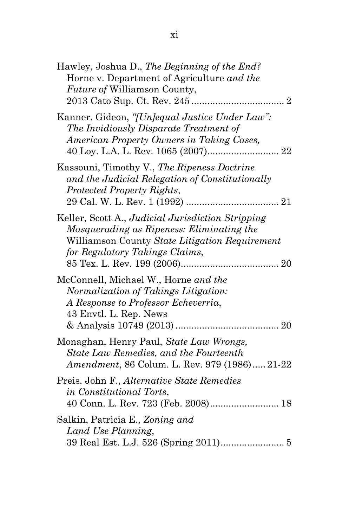| Hawley, Joshua D., The Beginning of the End?<br>Horne v. Department of Agriculture and the<br><i>Future of Williamson County,</i>                                                  |
|------------------------------------------------------------------------------------------------------------------------------------------------------------------------------------|
| Kanner, Gideon, "[Un]equal Justice Under Law":<br>The Invidiously Disparate Treatment of<br>American Property Owners in Taking Cases,                                              |
| Kassouni, Timothy V., The Ripeness Doctrine<br>and the Judicial Relegation of Constitutionally<br>Protected Property Rights,                                                       |
| Keller, Scott A., Judicial Jurisdiction Stripping<br>Masquerading as Ripeness: Eliminating the<br>Williamson County State Litigation Requirement<br>for Regulatory Takings Claims, |
| McConnell, Michael W., Horne and the<br>Normalization of Takings Litigation:<br>A Response to Professor Echeverria,<br>43 Envtl. L. Rep. News                                      |
| Monaghan, Henry Paul, State Law Wrongs,<br>State Law Remedies, and the Fourteenth<br>Amendment, 86 Colum. L. Rev. 979 (1986) 21-22                                                 |
| Preis, John F., Alternative State Remedies<br>in Constitutional Torts,<br>40 Conn. L. Rev. 723 (Feb. 2008) 18                                                                      |
| Salkin, Patricia E., Zoning and<br>Land Use Planning,                                                                                                                              |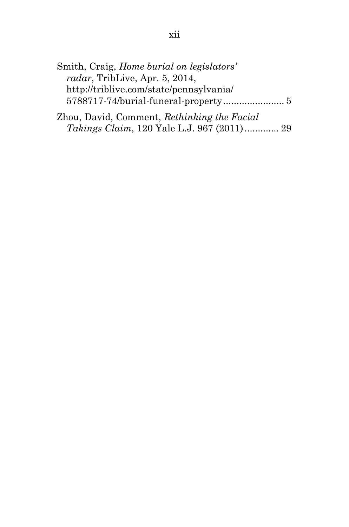| Smith, Craig, <i>Home burial on legislators'</i> |  |
|--------------------------------------------------|--|
| radar, TribLive, Apr. $5, 2014$ ,                |  |
| http://triblive.com/state/pennsylvania/          |  |
| 5788717-74/burial-funeral-property 5             |  |
|                                                  |  |

Zhou, David, Comment, *Rethinking the Facial Takings Claim*, 120 Yale L.J. 967 (2011)............. 29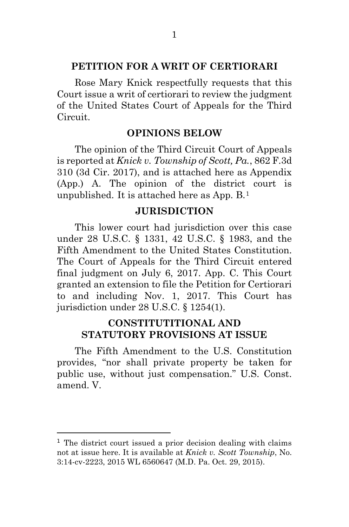#### **PETITION FOR A WRIT OF CERTIORARI**

Rose Mary Knick respectfully requests that this Court issue a writ of certiorari to review the judgment of the United States Court of Appeals for the Third Circuit.

#### **OPINIONS BELOW**

The opinion of the Third Circuit Court of Appeals is reported at *Knick v. Township of Scott, Pa.*, 862 F.3d 310 (3d Cir. 2017), and is attached here as Appendix (App.) A. The opinion of the district court is unpublished. It is attached here as App. B.[1](#page-13-0)

#### **JURISDICTION**

This lower court had jurisdiction over this case under 28 U.S.C. § 1331, 42 U.S.C. § 1983, and the Fifth Amendment to the United States Constitution. The Court of Appeals for the Third Circuit entered final judgment on July 6, 2017. App. C. This Court granted an extension to file the Petition for Certiorari to and including Nov. 1, 2017. This Court has jurisdiction under 28 U.S.C. § 1254(1).

## **CONSTITUTITIONAL AND STATUTORY PROVISIONS AT ISSUE**

The Fifth Amendment to the U.S. Constitution provides, "nor shall private property be taken for public use, without just compensation." U.S. Const. amend. V.

 $\overline{a}$ 

<span id="page-13-0"></span><sup>&</sup>lt;sup>1</sup> The district court issued a prior decision dealing with claims not at issue here. It is available at *Knick v. Scott Township*, No. 3:14-cv-2223, 2015 WL 6560647 (M.D. Pa. Oct. 29, 2015).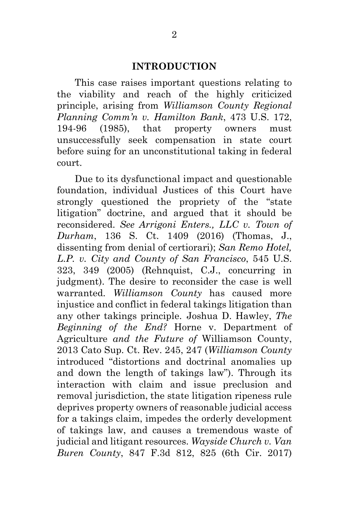#### **INTRODUCTION**

This case raises important questions relating to the viability and reach of the highly criticized principle, arising from *Williamson County Regional Planning Comm'n v. Hamilton Bank*, 473 U.S. 172, 194-96 (1985), that property owners must unsuccessfully seek compensation in state court before suing for an unconstitutional taking in federal court.

Due to its dysfunctional impact and questionable foundation, individual Justices of this Court have strongly questioned the propriety of the "state litigation" doctrine, and argued that it should be reconsidered. *See Arrigoni Enters., LLC v. Town of Durham*, 136 S. Ct. 1409 (2016) (Thomas, J., dissenting from denial of certiorari); *San Remo Hotel, L.P. v. City and County of San Francisco*, 545 U.S. 323, 349 (2005) (Rehnquist, C.J., concurring in judgment). The desire to reconsider the case is well warranted. *Williamson County* has caused more injustice and conflict in federal takings litigation than any other takings principle. Joshua D. Hawley, *The Beginning of the End?* Horne v. Department of Agriculture *and the Future of* Williamson County, 2013 Cato Sup. Ct. Rev. 245, 247 (*Williamson County* introduced "distortions and doctrinal anomalies up and down the length of takings law"). Through its interaction with claim and issue preclusion and removal jurisdiction, the state litigation ripeness rule deprives property owners of reasonable judicial access for a takings claim, impedes the orderly development of takings law, and causes a tremendous waste of judicial and litigant resources. *Wayside Church v. Van Buren County*, 847 F.3d 812, 825 (6th Cir. 2017)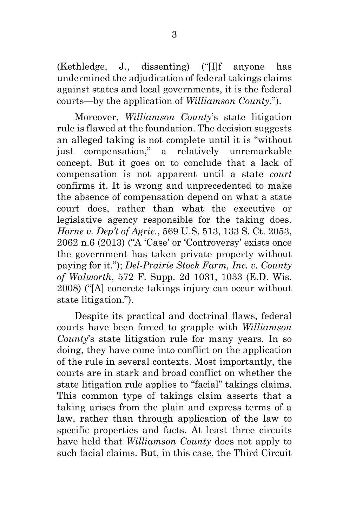(Kethledge, J., dissenting) ("[I]f anyone has undermined the adjudication of federal takings claims against states and local governments, it is the federal courts—by the application of *Williamson County*.").

Moreover, *Williamson County*'s state litigation rule is flawed at the foundation. The decision suggests an alleged taking is not complete until it is "without just compensation," a relatively unremarkable concept. But it goes on to conclude that a lack of compensation is not apparent until a state *court* confirms it. It is wrong and unprecedented to make the absence of compensation depend on what a state court does, rather than what the executive or legislative agency responsible for the taking does. *Horne v. Dep't of Agric.*, 569 U.S. 513, 133 S. Ct. 2053, 2062 n.6 (2013) ("A 'Case' or 'Controversy' exists once the government has taken private property without paying for it."); *Del-Prairie Stock Farm, Inc. v. County of Walworth*, 572 F. Supp. 2d 1031, 1033 (E.D. Wis. 2008) ("[A] concrete takings injury can occur without state litigation.").

Despite its practical and doctrinal flaws, federal courts have been forced to grapple with *Williamson County*'s state litigation rule for many years. In so doing, they have come into conflict on the application of the rule in several contexts. Most importantly, the courts are in stark and broad conflict on whether the state litigation rule applies to "facial" takings claims. This common type of takings claim asserts that a taking arises from the plain and express terms of a law, rather than through application of the law to specific properties and facts. At least three circuits have held that *Williamson County* does not apply to such facial claims. But, in this case, the Third Circuit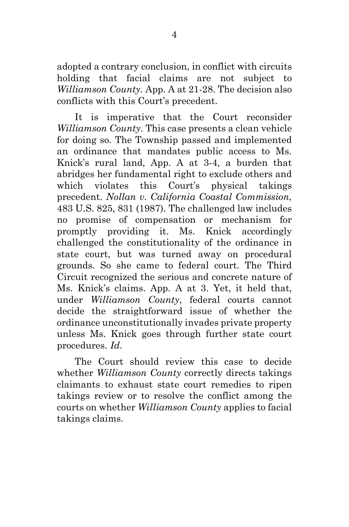adopted a contrary conclusion, in conflict with circuits holding that facial claims are not subject to *Williamson County.* App. A at 21-28. The decision also conflicts with this Court's precedent.

It is imperative that the Court reconsider *Williamson County*. This case presents a clean vehicle for doing so. The Township passed and implemented an ordinance that mandates public access to Ms. Knick's rural land, App. A at 3-4, a burden that abridges her fundamental right to exclude others and which violates this Court's physical takings precedent. *Nollan v. California Coastal Commission*, 483 U.S. 825, 831 (1987). The challenged law includes no promise of compensation or mechanism for promptly providing it. Ms. Knick accordingly challenged the constitutionality of the ordinance in state court, but was turned away on procedural grounds. So she came to federal court. The Third Circuit recognized the serious and concrete nature of Ms. Knick's claims. App. A at 3. Yet, it held that, under *Williamson County*, federal courts cannot decide the straightforward issue of whether the ordinance unconstitutionally invades private property unless Ms. Knick goes through further state court procedures. *Id.*

The Court should review this case to decide whether *Williamson County* correctly directs takings claimants to exhaust state court remedies to ripen takings review or to resolve the conflict among the courts on whether *Williamson County* applies to facial takings claims.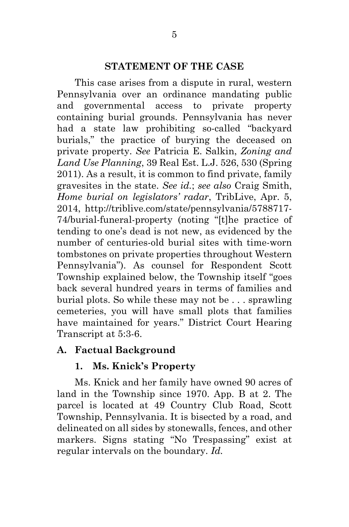#### **STATEMENT OF THE CASE**

This case arises from a dispute in rural, western Pennsylvania over an ordinance mandating public and governmental access to private property containing burial grounds. Pennsylvania has never had a state law prohibiting so-called "backyard burials," the practice of burying the deceased on private property. *See* Patricia E. Salkin, *Zoning and Land Use Planning*, 39 Real Est. L.J. 526, 530 (Spring 2011). As a result, it is common to find private, family gravesites in the state. *See id.*; *see also* Craig Smith, *Home burial on legislators' radar*, TribLive, Apr. 5, 2014, http://triblive.com/state/pennsylvania/5788717- 74/burial-funeral-property (noting "[t]he practice of tending to one's dead is not new, as evidenced by the number of centuries-old burial sites with time-worn tombstones on private properties throughout Western Pennsylvania"). As counsel for Respondent Scott Township explained below, the Township itself "goes back several hundred years in terms of families and burial plots. So while these may not be . . . sprawling cemeteries, you will have small plots that families have maintained for years." District Court Hearing Transcript at 5:3-6.

## **A. Factual Background**

## **1. Ms. Knick's Property**

Ms. Knick and her family have owned 90 acres of land in the Township since 1970. App. B at 2. The parcel is located at 49 Country Club Road, Scott Township, Pennsylvania. It is bisected by a road, and delineated on all sides by stonewalls, fences, and other markers. Signs stating "No Trespassing" exist at regular intervals on the boundary. *Id.*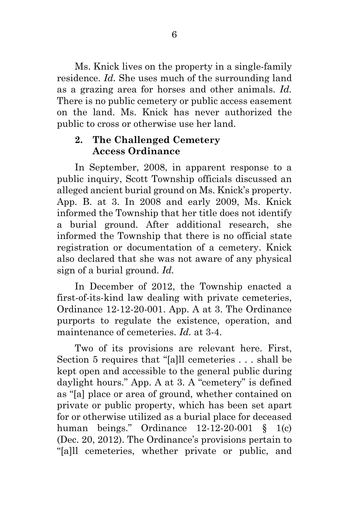Ms. Knick lives on the property in a single-family residence. *Id.* She uses much of the surrounding land as a grazing area for horses and other animals. *Id.* There is no public cemetery or public access easement on the land. Ms. Knick has never authorized the public to cross or otherwise use her land.

## **2. The Challenged Cemetery Access Ordinance**

In September, 2008, in apparent response to a public inquiry, Scott Township officials discussed an alleged ancient burial ground on Ms. Knick's property. App. B. at 3. In 2008 and early 2009, Ms. Knick informed the Township that her title does not identify a burial ground. After additional research, she informed the Township that there is no official state registration or documentation of a cemetery. Knick also declared that she was not aware of any physical sign of a burial ground. *Id.*

In December of 2012, the Township enacted a first-of-its-kind law dealing with private cemeteries, Ordinance 12-12-20-001. App. A at 3. The Ordinance purports to regulate the existence, operation, and maintenance of cemeteries. *Id.* at 3-4.

Two of its provisions are relevant here. First, Section 5 requires that "[a]ll cemeteries . . . shall be kept open and accessible to the general public during daylight hours." App. A at 3. A "cemetery" is defined as "[a] place or area of ground, whether contained on private or public property, which has been set apart for or otherwise utilized as a burial place for deceased human beings." Ordinance 12-12-20-001 § 1(c) (Dec. 20, 2012). The Ordinance's provisions pertain to "[a]ll cemeteries, whether private or public, and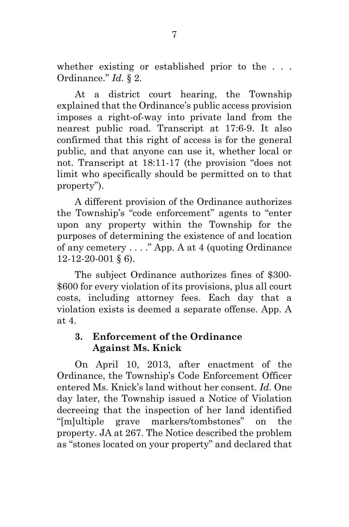whether existing or established prior to the . . . Ordinance." *Id.* § 2.

At a district court hearing, the Township explained that the Ordinance's public access provision imposes a right-of-way into private land from the nearest public road. Transcript at 17:6-9. It also confirmed that this right of access is for the general public, and that anyone can use it, whether local or not. Transcript at 18:11-17 (the provision "does not limit who specifically should be permitted on to that property").

A different provision of the Ordinance authorizes the Township's "code enforcement" agents to "enter upon any property within the Township for the purposes of determining the existence of and location of any cemetery . . . ." App. A at 4 (quoting Ordinance 12-12-20-001 § 6).

The subject Ordinance authorizes fines of \$300- \$600 for every violation of its provisions, plus all court costs, including attorney fees. Each day that a violation exists is deemed a separate offense. App. A at 4.

## **3. Enforcement of the Ordinance Against Ms. Knick**

On April 10, 2013, after enactment of the Ordinance, the Township's Code Enforcement Officer entered Ms. Knick's land without her consent. *Id.* One day later, the Township issued a Notice of Violation decreeing that the inspection of her land identified "[m]ultiple grave markers/tombstones" on the property. JA at 267. The Notice described the problem as "stones located on your property" and declared that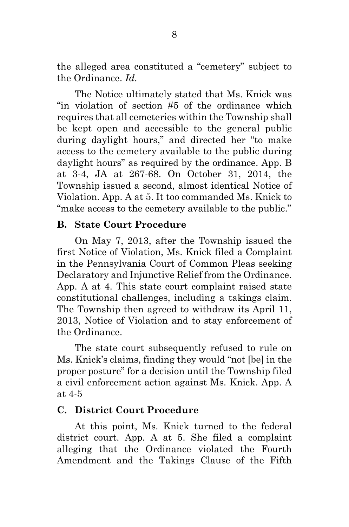the alleged area constituted a "cemetery" subject to the Ordinance. *Id.*

The Notice ultimately stated that Ms. Knick was "in violation of section #5 of the ordinance which requires that all cemeteries within the Township shall be kept open and accessible to the general public during daylight hours," and directed her "to make access to the cemetery available to the public during daylight hours" as required by the ordinance. App. B at 3-4, JA at 267-68. On October 31, 2014, the Township issued a second, almost identical Notice of Violation. App. A at 5. It too commanded Ms. Knick to "make access to the cemetery available to the public."

### **B. State Court Procedure**

On May 7, 2013, after the Township issued the first Notice of Violation, Ms. Knick filed a Complaint in the Pennsylvania Court of Common Pleas seeking Declaratory and Injunctive Relief from the Ordinance. App. A at 4. This state court complaint raised state constitutional challenges, including a takings claim. The Township then agreed to withdraw its April 11, 2013, Notice of Violation and to stay enforcement of the Ordinance.

The state court subsequently refused to rule on Ms. Knick's claims, finding they would "not [be] in the proper posture" for a decision until the Township filed a civil enforcement action against Ms. Knick. App. A at 4-5

### **C. District Court Procedure**

At this point, Ms. Knick turned to the federal district court. App. A at 5. She filed a complaint alleging that the Ordinance violated the Fourth Amendment and the Takings Clause of the Fifth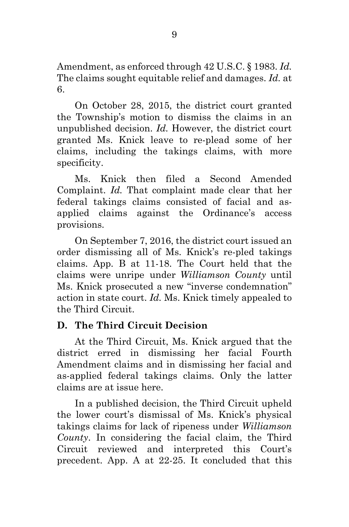Amendment, as enforced through 42 U.S.C. § 1983. *Id.* The claims sought equitable relief and damages. *Id.* at 6.

On October 28, 2015, the district court granted the Township's motion to dismiss the claims in an unpublished decision. *Id.* However, the district court granted Ms. Knick leave to re-plead some of her claims, including the takings claims, with more specificity.

Ms. Knick then filed a Second Amended Complaint. *Id.* That complaint made clear that her federal takings claims consisted of facial and asapplied claims against the Ordinance's access provisions.

On September 7, 2016, the district court issued an order dismissing all of Ms. Knick's re-pled takings claims. App. B at 11-18. The Court held that the claims were unripe under *Williamson County* until Ms. Knick prosecuted a new "inverse condemnation" action in state court. *Id.* Ms. Knick timely appealed to the Third Circuit.

## **D. The Third Circuit Decision**

At the Third Circuit, Ms. Knick argued that the district erred in dismissing her facial Fourth Amendment claims and in dismissing her facial and as-applied federal takings claims. Only the latter claims are at issue here.

In a published decision, the Third Circuit upheld the lower court's dismissal of Ms. Knick's physical takings claims for lack of ripeness under *Williamson County*. In considering the facial claim, the Third Circuit reviewed and interpreted this Court's precedent. App. A at 22-25. It concluded that this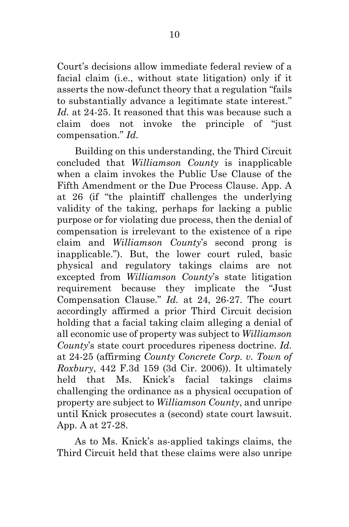Court's decisions allow immediate federal review of a facial claim (i.e., without state litigation) only if it asserts the now-defunct theory that a regulation "fails to substantially advance a legitimate state interest." *Id.* at 24-25. It reasoned that this was because such a claim does not invoke the principle of "just compensation." *Id.*

Building on this understanding, the Third Circuit concluded that *Williamson County* is inapplicable when a claim invokes the Public Use Clause of the Fifth Amendment or the Due Process Clause. App. A at 26 (if "the plaintiff challenges the underlying validity of the taking, perhaps for lacking a public purpose or for violating due process, then the denial of compensation is irrelevant to the existence of a ripe claim and *Williamson County*'s second prong is inapplicable."). But, the lower court ruled, basic physical and regulatory takings claims are not excepted from *Williamson County*'s state litigation requirement because they implicate the "Just Compensation Clause." *Id.* at 24, 26-27. The court accordingly affirmed a prior Third Circuit decision holding that a facial taking claim alleging a denial of all economic use of property was subject to *Williamson County*'s state court procedures ripeness doctrine. *Id.* at 24-25 (affirming *County Concrete Corp. v. Town of Roxbury*, 442 F.3d 159 (3d Cir. 2006)). It ultimately held that Ms. Knick's facial takings claims challenging the ordinance as a physical occupation of property are subject to *Williamson County*, and unripe until Knick prosecutes a (second) state court lawsuit. App. A at 27-28.

As to Ms. Knick's as-applied takings claims, the Third Circuit held that these claims were also unripe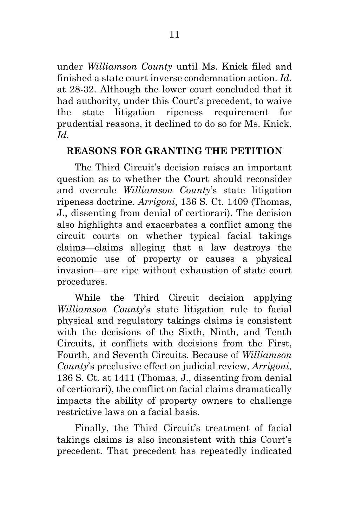under *Williamson County* until Ms. Knick filed and finished a state court inverse condemnation action. *Id.* at 28-32. Although the lower court concluded that it had authority, under this Court's precedent, to waive the state litigation ripeness requirement for prudential reasons, it declined to do so for Ms. Knick. *Id.*

## **REASONS FOR GRANTING THE PETITION**

The Third Circuit's decision raises an important question as to whether the Court should reconsider and overrule *Williamson County*'s state litigation ripeness doctrine. *Arrigoni*, 136 S. Ct. 1409 (Thomas, J., dissenting from denial of certiorari). The decision also highlights and exacerbates a conflict among the circuit courts on whether typical facial takings claims—claims alleging that a law destroys the economic use of property or causes a physical invasion—are ripe without exhaustion of state court procedures.

While the Third Circuit decision applying *Williamson County*'s state litigation rule to facial physical and regulatory takings claims is consistent with the decisions of the Sixth, Ninth, and Tenth Circuits, it conflicts with decisions from the First, Fourth, and Seventh Circuits. Because of *Williamson County*'s preclusive effect on judicial review, *Arrigoni*, 136 S. Ct. at 1411 (Thomas, J., dissenting from denial of certiorari), the conflict on facial claims dramatically impacts the ability of property owners to challenge restrictive laws on a facial basis.

Finally, the Third Circuit's treatment of facial takings claims is also inconsistent with this Court's precedent. That precedent has repeatedly indicated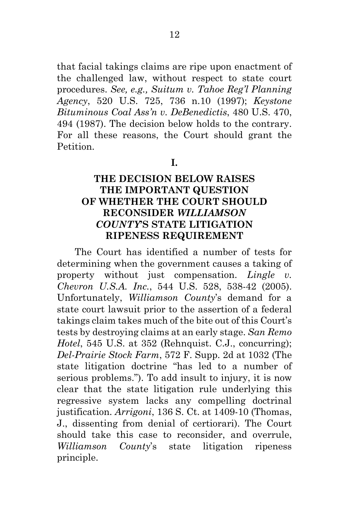that facial takings claims are ripe upon enactment of the challenged law, without respect to state court procedures. *See, e.g., Suitum v. Tahoe Reg'l Planning Agency*, 520 U.S. 725, 736 n.10 (1997); *Keystone Bituminous Coal Ass'n v. DeBenedictis*, 480 U.S. 470, 494 (1987). The decision below holds to the contrary. For all these reasons, the Court should grant the **Petition** 

**I.**

## **THE DECISION BELOW RAISES THE IMPORTANT QUESTION OF WHETHER THE COURT SHOULD RECONSIDER** *WILLIAMSON COUNTY***'S STATE LITIGATION RIPENESS REQUIREMENT**

The Court has identified a number of tests for determining when the government causes a taking of property without just compensation. *Lingle v. Chevron U.S.A. Inc.*, 544 U.S. 528, 538-42 (2005). Unfortunately, *Williamson County*'s demand for a state court lawsuit prior to the assertion of a federal takings claim takes much of the bite out of this Court's tests by destroying claims at an early stage. *San Remo Hotel*, 545 U.S. at 352 (Rehnquist. C.J., concurring); *Del-Prairie Stock Farm*, 572 F. Supp. 2d at 1032 (The state litigation doctrine "has led to a number of serious problems."). To add insult to injury, it is now clear that the state litigation rule underlying this regressive system lacks any compelling doctrinal justification. *Arrigoni*, 136 S. Ct. at 1409-10 (Thomas, J., dissenting from denial of certiorari). The Court should take this case to reconsider, and overrule, *Williamson County*'s state litigation ripeness principle.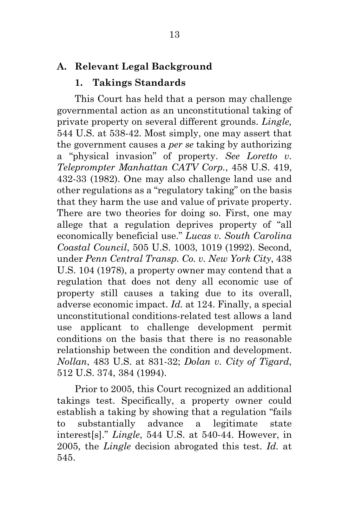### **A. Relevant Legal Background**

### **1. Takings Standards**

This Court has held that a person may challenge governmental action as an unconstitutional taking of private property on several different grounds. *Lingle,*  544 U.S. at 538-42. Most simply, one may assert that the government causes a *per se* taking by authorizing a "physical invasion" of property. *See Loretto v. Teleprompter Manhattan CATV Corp.*, 458 U.S. 419, 432-33 (1982). One may also challenge land use and other regulations as a "regulatory taking" on the basis that they harm the use and value of private property. There are two theories for doing so. First, one may allege that a regulation deprives property of "all economically beneficial use." *Lucas v. South Carolina Coastal Council*, 505 U.S. 1003, 1019 (1992). Second, under *Penn Central Transp. Co. v. New York City*, 438 U.S. 104 (1978), a property owner may contend that a regulation that does not deny all economic use of property still causes a taking due to its overall, adverse economic impact. *Id.* at 124. Finally, a special unconstitutional conditions-related test allows a land use applicant to challenge development permit conditions on the basis that there is no reasonable relationship between the condition and development. *Nollan*, 483 U.S. at 831-32; *Dolan v. City of Tigard*, 512 U.S. 374, 384 (1994).

Prior to 2005, this Court recognized an additional takings test. Specifically, a property owner could establish a taking by showing that a regulation "fails to substantially advance a legitimate state interest[s]." *Lingle*, 544 U.S. at 540-44. However, in 2005, the *Lingle* decision abrogated this test. *Id.* at 545.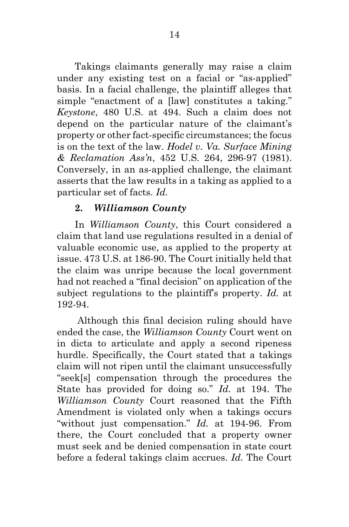Takings claimants generally may raise a claim under any existing test on a facial or "as-applied" basis. In a facial challenge, the plaintiff alleges that simple "enactment of a [law] constitutes a taking." *Keystone*, 480 U.S. at 494. Such a claim does not depend on the particular nature of the claimant's property or other fact-specific circumstances; the focus is on the text of the law. *Hodel v. Va. Surface Mining & Reclamation Ass'n*, 452 U.S. 264, 296-97 (1981). Conversely, in an as-applied challenge, the claimant asserts that the law results in a taking as applied to a particular set of facts. *Id.*

## **2.** *Williamson County*

In *Williamson County*, this Court considered a claim that land use regulations resulted in a denial of valuable economic use, as applied to the property at issue. 473 U.S. at 186-90. The Court initially held that the claim was unripe because the local government had not reached a "final decision" on application of the subject regulations to the plaintiff's property. *Id.* at 192-94.

Although this final decision ruling should have ended the case, the *Williamson County* Court went on in dicta to articulate and apply a second ripeness hurdle. Specifically, the Court stated that a takings claim will not ripen until the claimant unsuccessfully "seek[s] compensation through the procedures the State has provided for doing so." *Id.* at 194. The *Williamson County* Court reasoned that the Fifth Amendment is violated only when a takings occurs "without just compensation." *Id.* at 194-96. From there, the Court concluded that a property owner must seek and be denied compensation in state court before a federal takings claim accrues. *Id.* The Court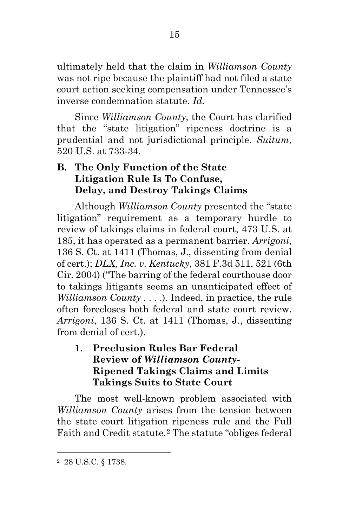ultimately held that the claim in *Williamson County* was not ripe because the plaintiff had not filed a state court action seeking compensation under Tennessee's inverse condemnation statute. *Id.*

Since *Williamson County*, the Court has clarified that the "state litigation" ripeness doctrine is a prudential and not jurisdictional principle. *Suitum*, 520 U.S. at 733-34.

# **B. The Only Function of the State Litigation Rule Is To Confuse, Delay, and Destroy Takings Claims**

Although *Williamson County* presented the "state litigation" requirement as a temporary hurdle to review of takings claims in federal court, 473 U.S. at 185, it has operated as a permanent barrier. *Arrigoni*, 136 S. Ct. at 1411 (Thomas, J., dissenting from denial of cert.); *DLX, Inc. v. Kentucky*, 381 F.3d 511, 521 (6th Cir. 2004) ("The barring of the federal courthouse door to takings litigants seems an unanticipated effect of *Williamson County* . . . .). Indeed, in practice, the rule often forecloses both federal and state court review. *Arrigoni*, 136 S. Ct. at 1411 (Thomas, J., dissenting from denial of cert.).

**1. Preclusion Rules Bar Federal Review of** *Williamson County***-Ripened Takings Claims and Limits Takings Suits to State Court**

The most well-known problem associated with *Williamson County* arises from the tension between the state court litigation ripeness rule and the Full Faith and Credit statute.[2](#page-27-0) The statute "obliges federal

 $\overline{a}$ 

<span id="page-27-0"></span><sup>2</sup> 28 U.S.C. § 1738.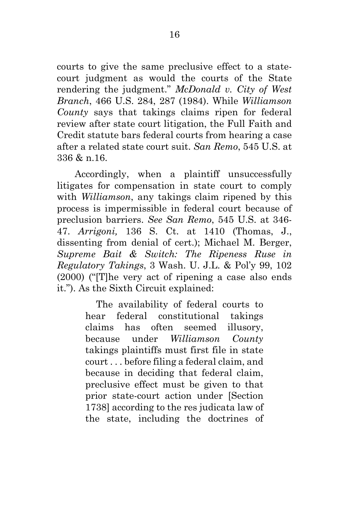courts to give the same preclusive effect to a statecourt judgment as would the courts of the State rendering the judgment." *McDonald v. City of West Branch*, 466 U.S. 284, 287 (1984). While *Williamson County* says that takings claims ripen for federal review after state court litigation, the Full Faith and Credit statute bars federal courts from hearing a case after a related state court suit. *San Remo*, 545 U.S. at 336 & n.16.

Accordingly, when a plaintiff unsuccessfully litigates for compensation in state court to comply with *Williamson*, any takings claim ripened by this process is impermissible in federal court because of preclusion barriers. *See San Remo*, 545 U.S. at 346- 47. *Arrigoni,* 136 S. Ct. at 1410 (Thomas, J., dissenting from denial of cert.); Michael M. Berger, *Supreme Bait & Switch: The Ripeness Ruse in Regulatory Takings*, 3 Wash. U. J.L. & Pol'y 99, 102 (2000) ("[T]he very act of ripening a case also ends it."). As the Sixth Circuit explained:

> The availability of federal courts to hear federal constitutional takings claims has often seemed illusory, because under *Williamson County* takings plaintiffs must first file in state court . . . before filing a federal claim, and because in deciding that federal claim, preclusive effect must be given to that prior state-court action under [Section 1738] according to the res judicata law of the state, including the doctrines of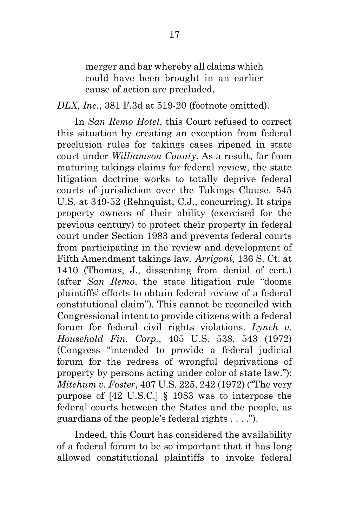merger and bar whereby all claims which could have been brought in an earlier cause of action are precluded.

*DLX, Inc.*, 381 F.3d at 519-20 (footnote omitted).

In *San Remo Hotel*, this Court refused to correct this situation by creating an exception from federal preclusion rules for takings cases ripened in state court under *Williamson County*. As a result, far from maturing takings claims for federal review, the state litigation doctrine works to totally deprive federal courts of jurisdiction over the Takings Clause. 545 U.S. at 349-52 (Rehnquist, C.J., concurring). It strips property owners of their ability (exercised for the previous century) to protect their property in federal court under Section 1983 and prevents federal courts from participating in the review and development of Fifth Amendment takings law. *Arrigoni*, 136 S. Ct. at 1410 (Thomas, J., dissenting from denial of cert.) (after *San Remo*, the state litigation rule "dooms plaintiffs' efforts to obtain federal review of a federal constitutional claim"). This cannot be reconciled with Congressional intent to provide citizens with a federal forum for federal civil rights violations. *Lynch v. Household Fin. Corp.*, 405 U.S. 538, 543 (1972) (Congress "intended to provide a federal judicial forum for the redress of wrongful deprivations of property by persons acting under color of state law."); *Mitchum v. Foster*, 407 U.S. 225, 242 (1972) ("The very purpose of [42 U.S.C.] § 1983 was to interpose the federal courts between the States and the people, as guardians of the people's federal rights . . . .").

Indeed, this Court has considered the availability of a federal forum to be so important that it has long allowed constitutional plaintiffs to invoke federal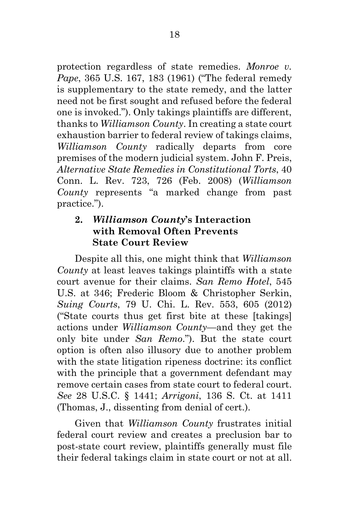protection regardless of state remedies. *Monroe v. Pape*, 365 U.S. 167, 183 (1961) ("The federal remedy is supplementary to the state remedy, and the latter need not be first sought and refused before the federal one is invoked."). Only takings plaintiffs are different, thanks to *Williamson County*. In creating a state court exhaustion barrier to federal review of takings claims, *Williamson County* radically departs from core premises of the modern judicial system. John F. Preis, *Alternative State Remedies in Constitutional Torts*, 40 Conn. L. Rev. 723, 726 (Feb. 2008) (*Williamson County* represents "a marked change from past practice.").

## **2.** *Williamson County***'s Interaction with Removal Often Prevents State Court Review**

Despite all this, one might think that *Williamson County* at least leaves takings plaintiffs with a state court avenue for their claims. *San Remo Hotel*, 545 U.S. at 346; Frederic Bloom & Christopher Serkin, *Suing Courts*, 79 U. Chi. L. Rev. 553, 605 (2012) ("State courts thus get first bite at these [takings] actions under *Williamson County*—and they get the only bite under *San Remo*."). But the state court option is often also illusory due to another problem with the state litigation ripeness doctrine: its conflict with the principle that a government defendant may remove certain cases from state court to federal court. *See* 28 U.S.C. § 1441; *Arrigoni*, 136 S. Ct. at 1411 (Thomas, J., dissenting from denial of cert.).

Given that *Williamson County* frustrates initial federal court review and creates a preclusion bar to post-state court review, plaintiffs generally must file their federal takings claim in state court or not at all.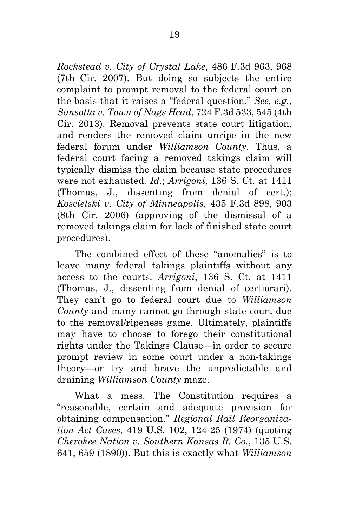*Rockstead v. City of Crystal Lake*, 486 F.3d 963, 968 (7th Cir. 2007). But doing so subjects the entire complaint to prompt removal to the federal court on the basis that it raises a "federal question." *See, e.g.*, *Sansotta v. Town of Nags Head*, 724 F.3d 533, 545 (4th Cir. 2013). Removal prevents state court litigation, and renders the removed claim unripe in the new federal forum under *Williamson County*. Thus, a federal court facing a removed takings claim will typically dismiss the claim because state procedures were not exhausted. *Id.*; *Arrigoni*, 136 S. Ct. at 1411 (Thomas, J., dissenting from denial of cert.); *Koscielski v. City of Minneapolis*, 435 F.3d 898, 903 (8th Cir. 2006) (approving of the dismissal of a removed takings claim for lack of finished state court procedures).

The combined effect of these "anomalies" is to leave many federal takings plaintiffs without any access to the courts. *Arrigoni*, 136 S. Ct. at 1411 (Thomas, J., dissenting from denial of certiorari). They can't go to federal court due to *Williamson County* and many cannot go through state court due to the removal/ripeness game. Ultimately, plaintiffs may have to choose to forego their constitutional rights under the Takings Clause—in order to secure prompt review in some court under a non-takings theory—or try and brave the unpredictable and draining *Williamson County* maze.

What a mess. The Constitution requires a "reasonable, certain and adequate provision for obtaining compensation." *Regional Rail Reorganization Act Cases*, 419 U.S. 102, 124-25 (1974) (quoting *Cherokee Nation v. Southern Kansas R. Co.*, 135 U.S. 641, 659 (1890)). But this is exactly what *Williamson*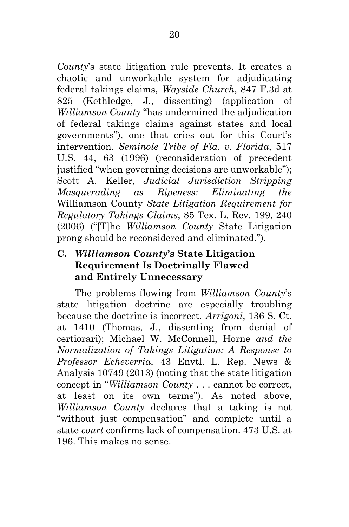*County*'s state litigation rule prevents. It creates a chaotic and unworkable system for adjudicating federal takings claims, *Wayside Church*, 847 F.3d at 825 (Kethledge, J., dissenting) (application of *Williamson County* "has undermined the adjudication of federal takings claims against states and local governments"), one that cries out for this Court's intervention. *Seminole Tribe of Fla. v. Florida*, 517 U.S. 44, 63 (1996) (reconsideration of precedent justified "when governing decisions are unworkable"); Scott A. Keller, *Judicial Jurisdiction Stripping Masquerading as Ripeness: Eliminating the*  Williamson County *State Litigation Requirement for Regulatory Takings Claims*, 85 Tex. L. Rev. 199, 240 (2006) ("[T]he *Williamson County* State Litigation prong should be reconsidered and eliminated.").

# **C.** *Williamson County***'s State Litigation Requirement Is Doctrinally Flawed and Entirely Unnecessary**

The problems flowing from *Williamson County*'s state litigation doctrine are especially troubling because the doctrine is incorrect. *Arrigoni*, 136 S. Ct. at 1410 (Thomas, J., dissenting from denial of certiorari); Michael W. McConnell, Horne *and the Normalization of Takings Litigation: A Response to Professor Echeverria*, 43 Envtl. L. Rep. News & Analysis 10749 (2013) (noting that the state litigation concept in "*Williamson County* . . . cannot be correct, at least on its own terms"). As noted above, *Williamson County* declares that a taking is not "without just compensation" and complete until a state *court* confirms lack of compensation. 473 U.S. at 196. This makes no sense.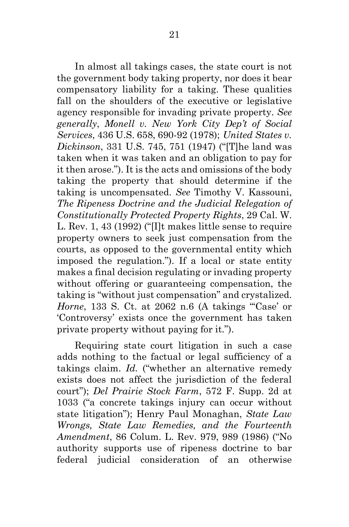In almost all takings cases, the state court is not the government body taking property, nor does it bear compensatory liability for a taking. These qualities fall on the shoulders of the executive or legislative agency responsible for invading private property. *See generally*, *Monell v. New York City Dep't of Social Services*, 436 U.S. 658, 690-92 (1978); *United States v. Dickinson*, 331 U.S. 745, 751 (1947) ("[T]he land was taken when it was taken and an obligation to pay for it then arose."). It is the acts and omissions of the body taking the property that should determine if the taking is uncompensated. *See* Timothy V. Kassouni, *The Ripeness Doctrine and the Judicial Relegation of Constitutionally Protected Property Rights*, 29 Cal. W. L. Rev. 1, 43 (1992) ("[I]t makes little sense to require property owners to seek just compensation from the courts, as opposed to the governmental entity which imposed the regulation."). If a local or state entity makes a final decision regulating or invading property without offering or guaranteeing compensation, the taking is "without just compensation" and crystalized. *Horne*, 133 S. Ct. at 2062 n.6 (A takings "Case' or 'Controversy' exists once the government has taken private property without paying for it.").

Requiring state court litigation in such a case adds nothing to the factual or legal sufficiency of a takings claim. *Id.* ("whether an alternative remedy exists does not affect the jurisdiction of the federal court"); *Del Prairie Stock Farm*, 572 F. Supp. 2d at 1033 ("a concrete takings injury can occur without state litigation"); Henry Paul Monaghan, *State Law Wrongs, State Law Remedies, and the Fourteenth Amendment*, 86 Colum. L. Rev. 979, 989 (1986) ("No authority supports use of ripeness doctrine to bar federal judicial consideration of an otherwise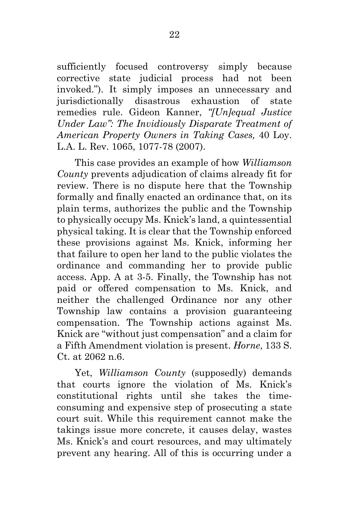sufficiently focused controversy simply because corrective state judicial process had not been invoked."). It simply imposes an unnecessary and jurisdictionally disastrous exhaustion of state remedies rule. Gideon Kanner, *"[Un]equal Justice Under Law": The Invidiously Disparate Treatment of American Property Owners in Taking Cases,* 40 Loy. L.A. L. Rev. 1065, 1077-78 (2007).

This case provides an example of how *Williamson County* prevents adjudication of claims already fit for review. There is no dispute here that the Township formally and finally enacted an ordinance that, on its plain terms, authorizes the public and the Township to physically occupy Ms. Knick's land, a quintessential physical taking. It is clear that the Township enforced these provisions against Ms. Knick, informing her that failure to open her land to the public violates the ordinance and commanding her to provide public access. App. A at 3-5. Finally, the Township has not paid or offered compensation to Ms. Knick, and neither the challenged Ordinance nor any other Township law contains a provision guaranteeing compensation. The Township actions against Ms. Knick are "without just compensation" and a claim for a Fifth Amendment violation is present. *Horne*, 133 S. Ct. at 2062 n.6.

Yet, *Williamson County* (supposedly) demands that courts ignore the violation of Ms. Knick's constitutional rights until she takes the timeconsuming and expensive step of prosecuting a state court suit. While this requirement cannot make the takings issue more concrete, it causes delay, wastes Ms. Knick's and court resources, and may ultimately prevent any hearing. All of this is occurring under a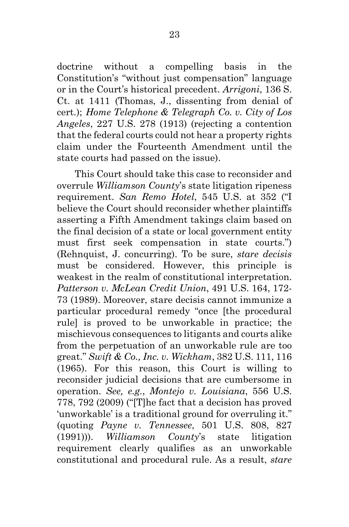doctrine without a compelling basis in the Constitution's "without just compensation" language or in the Court's historical precedent. *Arrigoni*, 136 S. Ct. at 1411 (Thomas, J., dissenting from denial of cert.); *Home Telephone & Telegraph Co. v. City of Los Angeles*, 227 U.S. 278 (1913) (rejecting a contention that the federal courts could not hear a property rights claim under the Fourteenth Amendment until the state courts had passed on the issue).

This Court should take this case to reconsider and overrule *Williamson County*'s state litigation ripeness requirement. *San Remo Hotel*, 545 U.S. at 352 ("I believe the Court should reconsider whether plaintiffs asserting a Fifth Amendment takings claim based on the final decision of a state or local government entity must first seek compensation in state courts.") (Rehnquist, J. concurring). To be sure, *stare decisis* must be considered. However, this principle is weakest in the realm of constitutional interpretation. *Patterson v. McLean Credit Union*, 491 U.S. 164, 172- 73 (1989). Moreover, stare decisis cannot immunize a particular procedural remedy "once [the procedural rule] is proved to be unworkable in practice; the mischievous consequences to litigants and courts alike from the perpetuation of an unworkable rule are too great." *Swift & Co., Inc. v. Wickham*, 382 U.S. 111, 116 (1965). For this reason, this Court is willing to reconsider judicial decisions that are cumbersome in operation. *See, e.g.*, *Montejo v. Louisiana*, 556 U.S. 778, 792 (2009) ("[T]he fact that a decision has proved 'unworkable' is a traditional ground for overruling it." (quoting *Payne v. Tennessee*, 501 U.S. 808, 827 (1991))). *Williamson County*'s state litigation requirement clearly qualifies as an unworkable constitutional and procedural rule. As a result, *stare*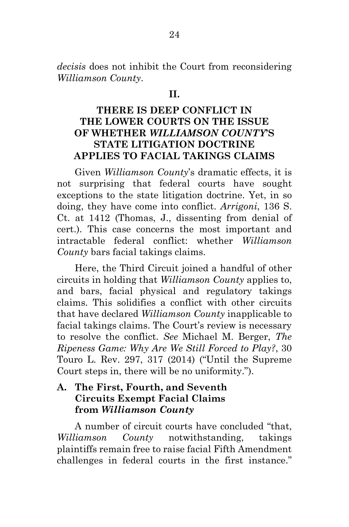*decisis* does not inhibit the Court from reconsidering *Williamson County*.

#### **II.**

## **THERE IS DEEP CONFLICT IN THE LOWER COURTS ON THE ISSUE OF WHETHER** *WILLIAMSON COUNTY***'S STATE LITIGATION DOCTRINE APPLIES TO FACIAL TAKINGS CLAIMS**

Given *Williamson County*'s dramatic effects, it is not surprising that federal courts have sought exceptions to the state litigation doctrine. Yet, in so doing, they have come into conflict. *Arrigoni*, 136 S. Ct. at 1412 (Thomas, J., dissenting from denial of cert.). This case concerns the most important and intractable federal conflict: whether *Williamson County* bars facial takings claims.

Here, the Third Circuit joined a handful of other circuits in holding that *Williamson County* applies to, and bars, facial physical and regulatory takings claims. This solidifies a conflict with other circuits that have declared *Williamson County* inapplicable to facial takings claims. The Court's review is necessary to resolve the conflict. *See* Michael M. Berger, *The Ripeness Game: Why Are We Still Forced to Play?*, 30 Touro L. Rev. 297, 317 (2014) ("Until the Supreme Court steps in, there will be no uniformity.").

### **A. The First, Fourth, and Seventh Circuits Exempt Facial Claims from** *Williamson County*

A number of circuit courts have concluded "that, *Williamson County* notwithstanding, takings plaintiffs remain free to raise facial Fifth Amendment challenges in federal courts in the first instance."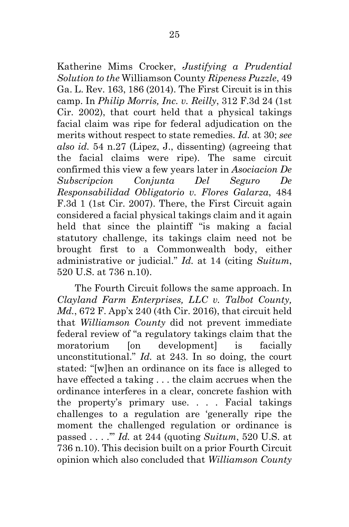Katherine Mims Crocker, *Justifying a Prudential Solution to the* Williamson County *Ripeness Puzzle*, 49 Ga. L. Rev. 163, 186 (2014). The First Circuit is in this camp. In *Philip Morris, Inc. v. Reilly*, 312 F.3d 24 (1st Cir. 2002), that court held that a physical takings facial claim was ripe for federal adjudication on the merits without respect to state remedies. *Id.* at 30; *see also id.* 54 n.27 (Lipez, J., dissenting) (agreeing that the facial claims were ripe). The same circuit confirmed this view a few years later in *Asociacion De Subscripcion Conjunta Del Seguro De Responsabilidad Obligatorio v. Flores Galarza*, 484 F.3d 1 (1st Cir. 2007). There, the First Circuit again considered a facial physical takings claim and it again held that since the plaintiff "is making a facial statutory challenge, its takings claim need not be brought first to a Commonwealth body, either administrative or judicial." *Id.* at 14 (citing *Suitum*, 520 U.S. at 736 n.10).

The Fourth Circuit follows the same approach. In *Clayland Farm Enterprises, LLC v. Talbot County, Md.*, 672 F. App'x 240 (4th Cir. 2016), that circuit held that *Williamson County* did not prevent immediate federal review of "a regulatory takings claim that the moratorium [on development] is facially unconstitutional." *Id.* at 243. In so doing, the court stated: "[w]hen an ordinance on its face is alleged to have effected a taking . . . the claim accrues when the ordinance interferes in a clear, concrete fashion with the property's primary use. . . . Facial takings challenges to a regulation are 'generally ripe the moment the challenged regulation or ordinance is passed . . . .'" *Id.* at 244 (quoting *Suitum*, 520 U.S. at 736 n.10). This decision built on a prior Fourth Circuit opinion which also concluded that *Williamson County*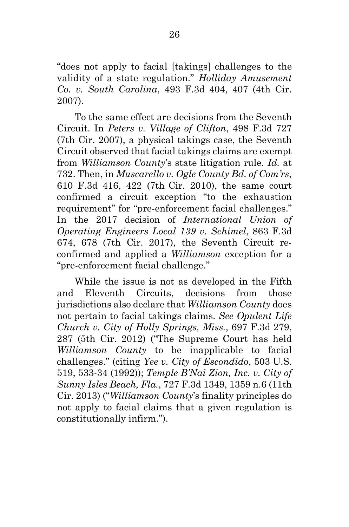"does not apply to facial [takings] challenges to the validity of a state regulation." *Holliday Amusement Co. v. South Carolina*, 493 F.3d 404, 407 (4th Cir. 2007).

To the same effect are decisions from the Seventh Circuit. In *Peters v. Village of Clifton*, 498 F.3d 727 (7th Cir. 2007), a physical takings case, the Seventh Circuit observed that facial takings claims are exempt from *Williamson County*'s state litigation rule. *Id.* at 732. Then, in *Muscarello v. Ogle County Bd. of Com'rs*, 610 F.3d 416, 422 (7th Cir. 2010), the same court confirmed a circuit exception "to the exhaustion requirement" for "pre-enforcement facial challenges." In the 2017 decision of *International Union of Operating Engineers Local 139 v. Schimel*, 863 F.3d 674, 678 (7th Cir. 2017), the Seventh Circuit reconfirmed and applied a *Williamson* exception for a "pre-enforcement facial challenge."

While the issue is not as developed in the Fifth and Eleventh Circuits, decisions from those jurisdictions also declare that *Williamson County* does not pertain to facial takings claims. *See Opulent Life Church v. City of Holly Springs, Miss.*, 697 F.3d 279, 287 (5th Cir. 2012) ("The Supreme Court has held *Williamson County* to be inapplicable to facial challenges." (citing *Yee v. City of Escondido*, 503 U.S. 519, 533-34 (1992)); *Temple B'Nai Zion, Inc. v. City of Sunny Isles Beach, Fla.*, 727 F.3d 1349, 1359 n.6 (11th Cir. 2013) ("*Williamson County*'s finality principles do not apply to facial claims that a given regulation is constitutionally infirm.").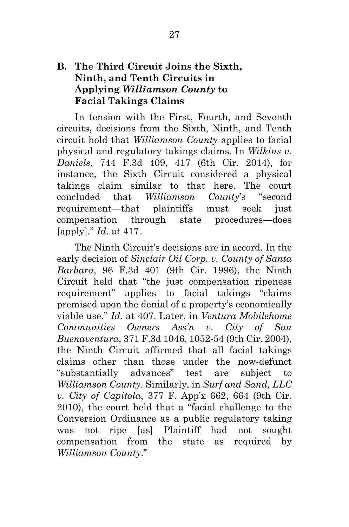## **B. The Third Circuit Joins the Sixth, Ninth, and Tenth Circuits in Applying** *Williamson County* **to Facial Takings Claims**

In tension with the First, Fourth, and Seventh circuits, decisions from the Sixth, Ninth, and Tenth circuit hold that *Williamson County* applies to facial physical and regulatory takings claims. In *Wilkins v. Daniels*, 744 F.3d 409, 417 (6th Cir. 2014), for instance, the Sixth Circuit considered a physical takings claim similar to that here. The court concluded that *Williamson County*'s "second requirement—that plaintiffs must seek just compensation through state procedures—does [apply]." *Id.* at 417.

The Ninth Circuit's decisions are in accord. In the early decision of *Sinclair Oil Corp. v. County of Santa Barbara*, 96 F.3d 401 (9th Cir. 1996), the Ninth Circuit held that "the just compensation ripeness requirement" applies to facial takings "claims premised upon the denial of a property's economically viable use." *Id.* at 407. Later, in *Ventura Mobilehome Communities Owners Ass'n v. City of San Buenaventura*, 371 F.3d 1046, 1052-54 (9th Cir. 2004), the Ninth Circuit affirmed that all facial takings claims other than those under the now-defunct "substantially advances" test are subject to *Williamson County*. Similarly, in *Surf and Sand, LLC v. City of Capitola*, 377 F. App'x 662, 664 (9th Cir. 2010), the court held that a "facial challenge to the Conversion Ordinance as a public regulatory taking was not ripe [as] Plaintiff had not sought compensation from the state as required by *Williamson County*."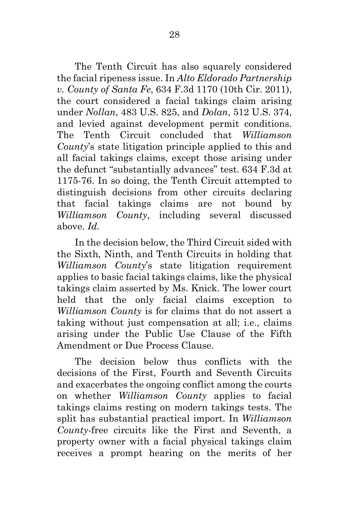The Tenth Circuit has also squarely considered the facial ripeness issue. In *Alto Eldorado Partnership v. County of Santa Fe*, 634 F.3d 1170 (10th Cir. 2011), the court considered a facial takings claim arising under *Nollan*, 483 U.S. 825, and *Dolan*, 512 U.S. 374, and levied against development permit conditions. The Tenth Circuit concluded that *Williamson County*'s state litigation principle applied to this and all facial takings claims, except those arising under the defunct "substantially advances" test. 634 F.3d at 1175-76. In so doing, the Tenth Circuit attempted to distinguish decisions from other circuits declaring that facial takings claims are not bound by *Williamson County*, including several discussed above. *Id.*

In the decision below, the Third Circuit sided with the Sixth, Ninth, and Tenth Circuits in holding that *Williamson County*'s state litigation requirement applies to basic facial takings claims, like the physical takings claim asserted by Ms. Knick. The lower court held that the only facial claims exception to *Williamson County* is for claims that do not assert a taking without just compensation at all; i.e., claims arising under the Public Use Clause of the Fifth Amendment or Due Process Clause.

The decision below thus conflicts with the decisions of the First, Fourth and Seventh Circuits and exacerbates the ongoing conflict among the courts on whether *Williamson County* applies to facial takings claims resting on modern takings tests. The split has substantial practical import. In *Williamson County*-free circuits like the First and Seventh, a property owner with a facial physical takings claim receives a prompt hearing on the merits of her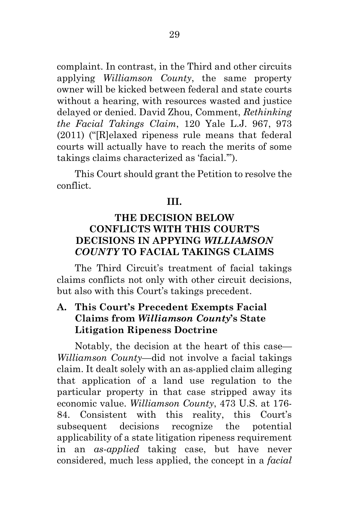complaint. In contrast, in the Third and other circuits applying *Williamson County*, the same property owner will be kicked between federal and state courts without a hearing, with resources wasted and justice delayed or denied. David Zhou, Comment, *Rethinking the Facial Takings Claim*, 120 Yale L.J. 967, 973 (2011) ("[R]elaxed ripeness rule means that federal courts will actually have to reach the merits of some takings claims characterized as 'facial.'").

This Court should grant the Petition to resolve the conflict.

#### **III.**

## **THE DECISION BELOW CONFLICTS WITH THIS COURT'S DECISIONS IN APPYING** *WILLIAMSON COUNTY* **TO FACIAL TAKINGS CLAIMS**

The Third Circuit's treatment of facial takings claims conflicts not only with other circuit decisions, but also with this Court's takings precedent.

## **A. This Court's Precedent Exempts Facial Claims from** *Williamson County***'s State Litigation Ripeness Doctrine**

Notably, the decision at the heart of this case— *Williamson County*—did not involve a facial takings claim. It dealt solely with an as-applied claim alleging that application of a land use regulation to the particular property in that case stripped away its economic value. *Williamson County*, 473 U.S. at 176- 84. Consistent with this reality, this Court's subsequent decisions recognize the potential applicability of a state litigation ripeness requirement in an *as-applied* taking case, but have never considered, much less applied, the concept in a *facial*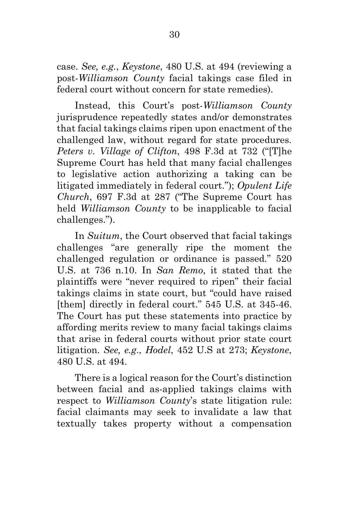case. *See, e.g.*, *Keystone*, 480 U.S. at 494 (reviewing a post-*Williamson County* facial takings case filed in federal court without concern for state remedies).

Instead, this Court's post-*Williamson County* jurisprudence repeatedly states and/or demonstrates that facial takings claims ripen upon enactment of the challenged law, without regard for state procedures. *Peters v. Village of Clifton*, 498 F.3d at 732 ("[T]he Supreme Court has held that many facial challenges to legislative action authorizing a taking can be litigated immediately in federal court."); *Opulent Life Church*, 697 F.3d at 287 ("The Supreme Court has held *Williamson County* to be inapplicable to facial challenges.").

In *Suitum*, the Court observed that facial takings challenges "are generally ripe the moment the challenged regulation or ordinance is passed." 520 U.S. at 736 n.10. In *San Remo*, it stated that the plaintiffs were "never required to ripen" their facial takings claims in state court, but "could have raised [them] directly in federal court." 545 U.S. at 345-46. The Court has put these statements into practice by affording merits review to many facial takings claims that arise in federal courts without prior state court litigation. *See, e.g*., *Hodel*, 452 U.S at 273; *Keystone*, 480 U.S. at 494.

There is a logical reason for the Court's distinction between facial and as-applied takings claims with respect to *Williamson County*'s state litigation rule: facial claimants may seek to invalidate a law that textually takes property without a compensation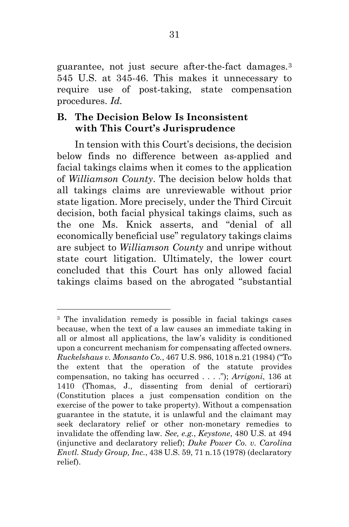guarantee, not just secure after-the-fact damages.[3](#page-43-0) 545 U.S. at 345-46. This makes it unnecessary to require use of post-taking, state compensation procedures. *Id.*

## **B. The Decision Below Is Inconsistent with This Court's Jurisprudence**

 $\overline{a}$ 

In tension with this Court's decisions, the decision below finds no difference between as-applied and facial takings claims when it comes to the application of *Williamson County*. The decision below holds that all takings claims are unreviewable without prior state ligation. More precisely, under the Third Circuit decision, both facial physical takings claims, such as the one Ms. Knick asserts, and "denial of all economically beneficial use" regulatory takings claims are subject to *Williamson County* and unripe without state court litigation. Ultimately, the lower court concluded that this Court has only allowed facial takings claims based on the abrogated "substantial

<span id="page-43-0"></span><sup>3</sup> The invalidation remedy is possible in facial takings cases because, when the text of a law causes an immediate taking in all or almost all applications, the law's validity is conditioned upon a concurrent mechanism for compensating affected owners. *Ruckelshaus v. Monsanto Co.*, 467 U.S. 986, 1018 n.21 (1984) ("To the extent that the operation of the statute provides compensation, no taking has occurred . . . ."); *Arrigoni*, 136 at 1410 (Thomas, J., dissenting from denial of certiorari) (Constitution places a just compensation condition on the exercise of the power to take property). Without a compensation guarantee in the statute, it is unlawful and the claimant may seek declaratory relief or other non-monetary remedies to invalidate the offending law. *See, e.g.*, *Keystone*, 480 U.S. at 494 (injunctive and declaratory relief); *Duke Power Co. v. Carolina Envtl. Study Group, Inc.*, 438 U.S. 59, 71 n.15 (1978) (declaratory relief).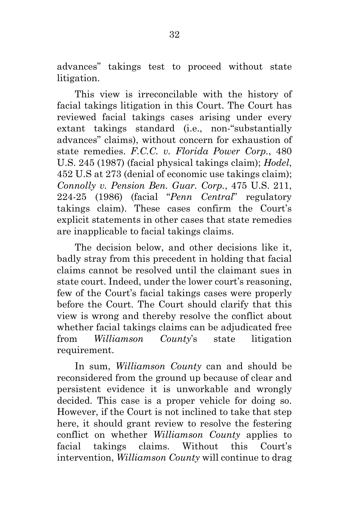advances" takings test to proceed without state litigation.

This view is irreconcilable with the history of facial takings litigation in this Court. The Court has reviewed facial takings cases arising under every extant takings standard (i.e., non-"substantially advances" claims), without concern for exhaustion of state remedies. *F.C.C. v. Florida Power Corp.*, 480 U.S. 245 (1987) (facial physical takings claim); *Hodel*, 452 U.S at 273 (denial of economic use takings claim); *Connolly v. Pension Ben. Guar. Corp.*, 475 U.S. 211, 224-25 (1986) (facial "*Penn Central*" regulatory takings claim). These cases confirm the Court's explicit statements in other cases that state remedies are inapplicable to facial takings claims.

The decision below, and other decisions like it, badly stray from this precedent in holding that facial claims cannot be resolved until the claimant sues in state court. Indeed, under the lower court's reasoning, few of the Court's facial takings cases were properly before the Court. The Court should clarify that this view is wrong and thereby resolve the conflict about whether facial takings claims can be adjudicated free from *Williamson County*'s state litigation requirement.

In sum, *Williamson County* can and should be reconsidered from the ground up because of clear and persistent evidence it is unworkable and wrongly decided. This case is a proper vehicle for doing so. However, if the Court is not inclined to take that step here, it should grant review to resolve the festering conflict on whether *Williamson County* applies to facial takings claims. Without this Court's intervention, *Williamson County* will continue to drag